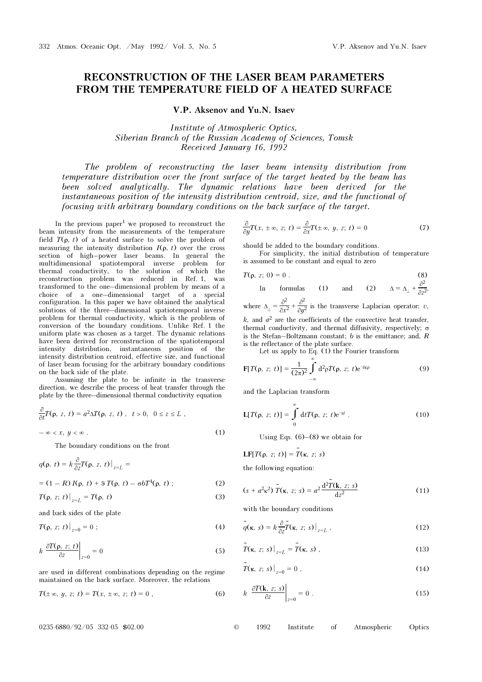## RECONSTRUCTION OF THE LASER BEAM PARAMETERS FROM THE TEMPERATURE FIELD OF A HEATED SURFACE

V.P. Aksenov and Yu.N. Isaev

Institute of Atmospheric Optics, Siberian Branch of the Russian Academy of Sciences, Tomsk Received January 16, 1992

The problem of reconstructing the laser beam intensity distribution from temperature distribution over the front surface of the target heated by the beam has been solved analytically. The dynamic relations have been derived for the instantaneous position of the intensity distribution centroid, size, and the functional of focusing with arbitrary boundary conditions on the back surface of the target.

In the previous paper<sup>1</sup> we proposed to reconstruct the beam intensity from the measurements of the temperature field  $T(\rho, t)$  of a heated surface to solve the problem of measuring the intensity distribution  $I(\rho, t)$  over the cross section of high–power laser beams. In general the multidimensional spatiotemporal inverse problem for thermal conductivity, to the solution of which the reconstruction problem was reduced in Ref. 1, was transformed to the one–dimensional problem by means of a choice of a one–dimensional target of a special configuration. In this paper we have obtained the analytical solutions of the three–dimensional spatiotemporal inverse problem for thermal conductivity, which is the problem of conversion of the boundary conditions. Unlike Ref. 1 the uniform plate was chosen as a target. The dynamic relations have been derived for reconstruction of the spatiotemporal intensity distribution, instantaneous position of the intensity distribution centroid, effective size, and functional of laser beam focusing for the arbitrary boundary conditions on the back side of the plate.

Assuming the plate to be infinite in the transverse direction, we describe the process of heat transfer through the plate by the three–dimensional thermal conductivity equation

$$
\frac{\partial}{\partial t}T(\rho, z, t) = a^2 \Delta T(\rho, z, t), \quad t > 0, \quad 0 \le z \le L,
$$
  

$$
-\infty < x, \quad y < \infty.
$$
 (1)

The boundary conditions on the front

$$
q(\rho, t) = k \frac{\partial}{\partial z} T(\rho, z, t) \Big|_{z=L} =
$$
  
= (1 - R) I(\rho, t) + 9 T(\rho, t) - \sigma b T<sup>4</sup>(\rho, t) ; (2)

$$
\mathcal{L}(\mathcal{L}(\mathcal{L}(\mathcal{L}(\mathcal{L}(\mathcal{L}(\mathcal{L}(\mathcal{L}(\mathcal{L}(\mathcal{L}(\mathcal{L}(\mathcal{L}(\mathcal{L}(\mathcal{L}(\mathcal{L}(\mathcal{L}(\mathcal{L}(\mathcal{L}(\mathcal{L}(\mathcal{L}(\mathcal{L}(\mathcal{L}(\mathcal{L}(\mathcal{L}(\mathcal{L}(\mathcal{L}(\mathcal{L}(\mathcal{L}(\mathcal{L}(\mathcal{L}(\mathcal{L}(\mathcal{L}(\mathcal{L}(\mathcal{L}(\mathcal{L}(\mathcal{L}(\mathcal{L}(\mathcal{L}(\mathcal{L}(\mathcal{L}(\mathcal{L}(\mathcal{L}(\mathcal{L}(\mathcal{L}(\mathcal{L}(\mathcal{L}(\mathcal{L}(\mathcal{L}(\mathcal{L}(\mathcal{L}(\mathcal{L}(\mathcal{L}(\mathcal{L}(\mathcal{L}(\mathcal{L}(\mathcal{L}(\mathcal{L}(\mathcal{L}(\mathcal{L}(\mathcal{L}(\mathcal{L}(\mathcal{L}(\mathcal{L}(\mathcal{L}(\mathcal{L}(\mathcal{L}(\mathcal{L}(\mathcal{L}(\mathcal{L}(\mathcal{L}(\mathcal{L}(\mathcal{L}(\mathcal{L}(\mathcal{L}(\mathcal{L}(\mathcal{L}(\mathcal{L}(\mathcal{L}(\mathcal{L}(\mathcal{L}(\mathcal{L}(\mathcal{L}(\mathcal{L}(\mathcal{L}(\mathcal{L}(\mathcal{L}(\mathcal{L}(\mathcal{L}(\mathcal{L}(\mathcal{L}(\mathcal{L}(\mathcal{L}(\mathcal{L}(\mathcal{L}(\mathcal{L}(\mathcal{L}(\mathcal{L}(\mathcal{L}(\mathcal{L}(\mathcal{L}(\mathcal{L}(\mathcal{L}(\mathcal{L}(\mathcal{L}(\mathcal{L}(\mathcal{L}(\mathcal{L}(\mathcal{L}(\mathcal{L}(\mathcal{L}(\mathcal{L}(\mathcal{L}(\mathcal{L}(\mathcal{L}(\mathcal{L}(\mathcal{L}(\mathcal{L}(\mathcal{L}(\mathcal{L}(\mathcal{L}(\mathcal{L}(\mathcal{L}(\mathcal{L}(\mathcal{L}(\mathcal{L}(\mathcal{L}(\mathcal{
$$

$$
T(\rho, z; t)|_{z=L} = T(\rho, t) \tag{3}
$$

and back sides of the plate

$$
T(\rho, z; t)\big|_{z=0} = 0 \; ; \tag{4}
$$

$$
k \left. \frac{\partial T(\rho, z; t)}{\partial z} \right|_{z=0} = 0 \tag{5}
$$

are used in different combinations depending on the regime maintained on the back surface. Moreover, the relations

$$
T(\pm \infty, y, z; t) = T(x, \pm \infty, z; t) = 0,
$$
\n(6)

$$
\frac{\partial}{\partial y}T(x, \pm \infty, z; t) = \frac{\partial}{\partial x}T(\pm \infty, y, z; t) = 0 \tag{7}
$$

should be added to the boundary conditions.

For simplicity, the initial distribution of temperature is assumed to be constant and equal to zero

$$
T(\rho, z; 0) = 0.
$$
 (8)

In formulas (1) and (2)  $\Delta = \Delta_{\perp} + \frac{\partial^2}{\partial z^2}$  $\frac{6}{\partial z^2}$ , where  $\Delta_{\perp} = \frac{\partial^2}{\partial x^2} +$ ∂2  $\frac{\partial}{\partial y^2}$  is the transverse Laplacian operator; v,

k, and  $a^2$  are the coefficients of the convective heat transfer, thermal conductivity, and thermal diffusivity, respectively; σ is the Stefan–Boltzmann constant;  $b$  is the emittance; and,  $R$ is the reflectance of the plate surface.

Let us apply to Eq. (1) the Fourier transform

∞

$$
F[T(\rho, z; t)] = \frac{1}{(2\pi)^2} \int_{-\infty}^{\infty} d^2 \rho T(\rho, z; t) e^{-i\kappa \rho}
$$
 (9)

and the Laplacian transform

$$
L[T(\rho, z; t)] = \int_{0}^{\infty} dt T(\rho, z; t) e^{-st} .
$$
 (10)

Using Eqs.  $(6)$ – $(8)$  we obtain for

$$
LF[T(\rho, z; t)] = \tilde{T}(\kappa, z; s)
$$

the following equation:

$$
(s + a2κ2) \tilde{T}(\kappa, z; s) = a2 \frac{d^{2} \tilde{T}(\mathbf{k}, z; s)}{dz^{2}}
$$
 (11)

with the boundary conditions

$$
\tilde{q}(\mathbf{k},\,s) = k \frac{\partial}{\partial z} \tilde{T}(\mathbf{k},\,z;\,s)\big|_{z=L} \,,\tag{12}
$$

$$
\tilde{T}(\mathbf{k}, z; s)\big|_{z=L} = \tilde{T}(\mathbf{k}, s) , \qquad (13)
$$

$$
\tilde{T}(\kappa, z; s)\big|_{z=0} = 0 , \qquad (14)
$$

$$
k \left. \frac{\partial T(\mathbf{k}, z; s)}{\partial z} \right|_{z=0} = 0 \tag{15}
$$

0235-6880/92/05 332-05 \$02.00 © 1992 Institute of Atmospheric Optics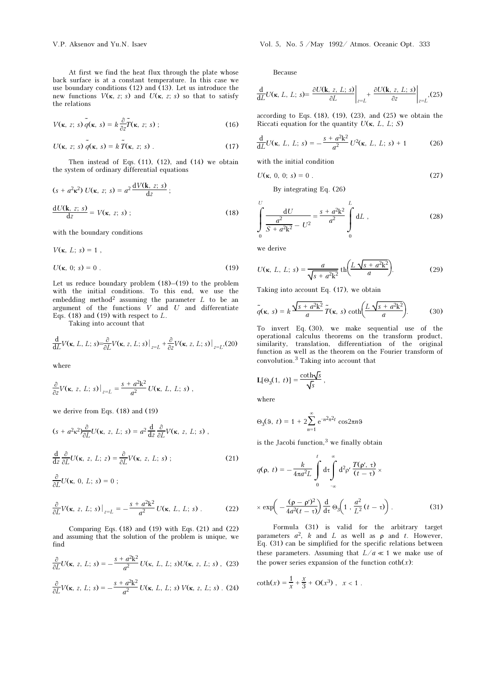At first we find the heat flux through the plate whose back surface is at a constant temperature. In this case we use boundary conditions (12) and (13). Let us introduce the new functions  $V(\kappa, z; s)$  and  $U(\kappa, z; s)$  so that to satisfy the relations

$$
V(\mathbf{k}, z; s) \tilde{q}(\mathbf{k}, s) = k \frac{\partial}{\partial z} \tilde{T}(\mathbf{k}, z; s) ;
$$
 (16)

$$
U(\mathbf{k}, z; s) \tilde{q}(\mathbf{k}, s) = k \tilde{T}(\mathbf{k}, z; s) .
$$
 (17)

Then instead of Eqs.  $(11)$ ,  $(12)$ , and  $(14)$  we obtain the system of ordinary differential equations

$$
(s + a2\kappa2) U(\kappa, z; s) = a2 \frac{dV(\kappa, z; s)}{dz};
$$

$$
\frac{dU(\kappa, z; s)}{dz} = V(\kappa, z; s);
$$
(18)

with the boundary conditions

$$
V(\kappa, L; s) = 1,
$$
  

$$
U(\kappa, 0; s) = 0.
$$
 (19)

Let us reduce boundary problem  $(18)$ – $(19)$  to the problem with the initial conditions. To this end, we use the embedding method<sup>2</sup> assuming the parameter  $L$  to be an argument of the functions  $V$  and  $U$  and differentiate Eqs. (18) and (19) with respect to  $L$ .

Taking into account that

$$
\frac{\mathrm{d}}{\mathrm{d}L}V(\mathbf{k}, L, L; s) = \frac{\partial}{\partial L}V(\mathbf{k}, z, L; s)\big|_{z=L} + \frac{\partial}{\partial z}V(\mathbf{k}, z, L; s)\big|_{z=L} (20)
$$

where

$$
\frac{\partial}{\partial z}V(\mathbf{k}, z, L; s)\big|_{z=L} = \frac{s + a^2 \mathbf{k}^2}{a^2} U(\mathbf{k}, L, L; s) ,
$$

we derive from Eqs. (18) and (19)

$$
(s + a2 \kappa2) \frac{\partial}{\partial L} U(\kappa, z, L; s) = a2 \frac{d}{dz} \frac{\partial}{\partial L} V(\kappa, z, L; s) ,
$$
  

$$
\frac{d}{dz} \frac{\partial}{\partial L} U(\kappa, z, L; z) = \frac{\partial}{\partial L} V(\kappa, z, L; s) ;
$$
 (21)

$$
\frac{\partial}{\partial L}U(\kappa, 0, L; s) = 0 ;
$$

$$
\frac{\partial}{\partial L}V(\mathbf{k}, z, L; s)\big|_{z=L} = -\frac{s + a^2 \mathbf{k}^2}{a^2} U(\mathbf{k}, L, L; s) \,. \tag{22}
$$

Comparing Eqs.  $(18)$  and  $(19)$  with Eqs.  $(21)$  and  $(22)$ and assuming that the solution of the problem is unique, we find

$$
\frac{\partial}{\partial L}U(\kappa, z, L; s) = -\frac{s + a^2 k^2}{a^2} U(\kappa, L, L; s)U(\kappa, z, L; s) ,
$$
 (23)

$$
\frac{\partial}{\partial L}V(\mathbf{k}, z, L; s) = -\frac{s + a^2 \mathbf{k}^2}{a^2} U(\mathbf{k}, L, L; s) V(\mathbf{k}, z, L; s) .
$$
 (24)

V.P. Aksenov and Yu.N. Isaev Vol. 5, No. 5 /May 1992/ Atmos. Oceanic Opt. 333

Because

$$
\frac{\mathrm{d}}{\mathrm{d}L}U(\kappa, L, L; s) = \frac{\partial U(\mathbf{k}, z, L; s)}{\partial L}\bigg|_{z=L} + \frac{\partial U(\mathbf{k}, z, L; s)}{\partial z}\bigg|_{z=L}, (25)
$$

according to Eqs.  $(18)$ ,  $(19)$ ,  $(23)$ , and  $(25)$  we obtain the Riccati equation for the quantity  $U(\kappa, L, L; S)$ 

$$
\frac{d}{dL}U(\kappa, L, L; s) = -\frac{s + a^2k^2}{a^2}U^2(\kappa, L, L; s) + 1
$$
 (26)

with the initial condition

$$
U(\kappa, 0, 0; s) = 0.
$$
 (27)

By integrating Eq. (26)

$$
\int_{0}^{U} \frac{dU}{S + a^2 k^2 - U^2} = \frac{s + a^2 k^2}{a^2} \int_{0}^{L} dL ,
$$
 (28)

we derive

$$
U(\kappa, L, L; s) = \frac{a}{\sqrt{s + a^2 k^2}} \operatorname{th} \left( \frac{L \sqrt{s + a^2 k^2}}{a} \right). \tag{29}
$$

Taking into account Eq. (17), we obtain

$$
\tilde{q}(\kappa, s) = k \frac{\sqrt{s + a^2 k^2}}{a} \tilde{T}(\kappa, s) \coth\left(\frac{L \sqrt{s + a^2 k^2}}{a}\right).
$$
 (30)

To invert Eq. (30), we make sequential use of the operational calculus theorems on the transform product, similarity, translation, differentiation of the original function as well as the theorem on the Fourier transform of convolution.3 Taking into account that

$$
\mathbf{L}[\Theta_3(1, t)] = \frac{\coth \sqrt{s}}{\sqrt{s}},
$$

where

$$
\Theta_3(9, t) = 1 + 2 \sum_{n=1}^{\infty} e^{-n^2 \pi^2 t} \cos 2\pi n
$$

is the Jacobi function, $3$  we finally obtain

$$
q(\mathbf{p}, t) = -\frac{k}{4\pi a^2 L} \int_0^t d\tau \int_{-\infty}^{\infty} d^2 \rho' \frac{T(\rho', \tau)}{(t - \tau)} \times
$$

$$
\times \exp\left(-\frac{(\mathbf{p} - \mathbf{p}')^2}{4a^2(t - \tau)}\right) \frac{d}{d\tau} \Theta_3\left(1, \frac{a^2}{L^2}(t - \tau)\right). \tag{31}
$$

Formula (31) is valid for the arbitrary target parameters  $a^2$ , k and L as well as  $\rho$  and t. However, Eq. (31) can be simplified for the specific relations between these parameters. Assuming that  $L/a \ll 1$  we make use of the power series expansion of the function  $\coth(x)$ :

$$
\coth(x) = \frac{1}{x} + \frac{x}{3} + O(x^3), \quad x < 1 \; .
$$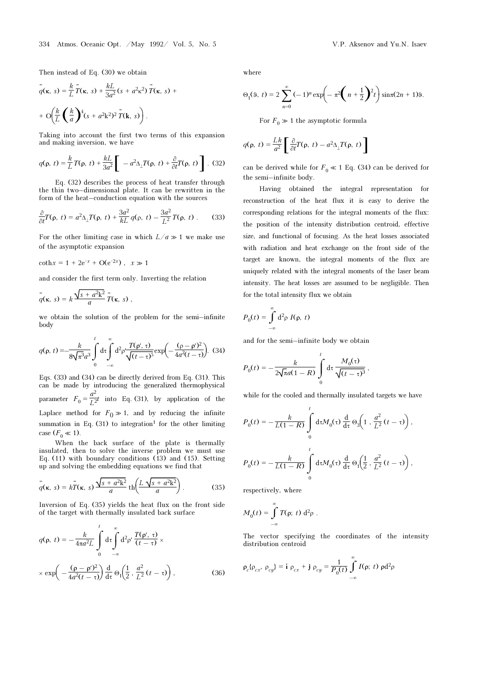Then instead of Eq. (30) we obtain

$$
\tilde{q}(\mathbf{x}, s) = \frac{k}{L}\tilde{T}(\mathbf{x}, s) + \frac{kL}{3a^2}(s + a^2\mathbf{x}^2)\tilde{T}(\mathbf{x}, s) +
$$

$$
+ \mathcal{O}\left(\frac{k}{L}\left(\frac{k}{a}\right)^4(s + a^2\mathbf{k}^2)^2\tilde{T}(\mathbf{k}, s)\right).
$$

Taking into account the first two terms of this expansion and making inversion, we have

$$
q(\mathbf{p}, t) = \frac{k}{L} T(\mathbf{p}, t) + \frac{kL}{3a^2} \left[ -a^2 \Delta_{\perp} T(\mathbf{p}, t) + \frac{\partial}{\partial t} T(\mathbf{p}, t) \right].
$$
 (32)

Eq. (32) describes the process of heat transfer through the thin two–dimensional plate. It can be rewritten in the form of the heat–conduction equation with the sources

$$
\frac{\partial}{\partial t}T(\rho, t) = a^2 \Delta_{\perp} T(\rho, t) + \frac{3a^2}{kL} q(\rho, t) - \frac{3a^2}{L^2} T(\rho, t) \,. \tag{33}
$$

For the other limiting case in which  $L/a \gg 1$  we make use of the asymptotic expansion

$$
coth x = 1 + 2e^{-x} + O(e^{-2x}), \quad x \gg 1
$$

and consider the first term only. Inverting the relation

$$
\widetilde{q}(\kappa, s) = k \frac{\sqrt{s + a^2 \mathbf{k}^2}}{a} \widetilde{T}(\kappa, s) ,
$$

we obtain the solution of the problem for the semi–infinite body

$$
q(\mathbf{p}, t) = -\frac{k}{8\sqrt{\pi^3}a^3} \int_0^t d\tau \int_{-\infty}^{\infty} d^2 \rho' \frac{T(\rho', \tau)}{\sqrt{(t-\tau)^5}} \exp\left(-\frac{(\rho-\rho')^2}{4a^2(t-\tau)}\right).
$$
 (34)

Eqs. (33) and (34) can be directly derived from Eq. (31). This can be made by introducing the generalized thermophysical parameter  $F_0 = \frac{a^2}{L^2}t$  into Eq. (31), by application of the Laplace method for  $F_0 \gg 1$ , and by reducing the infinite summation in Eq.  $(31)$  to integration<sup>1</sup> for the other limiting case  $(F_0 \ll 1)$ .

When the back surface of the plate is thermally insulated, then to solve the inverse problem we must use Eq. (11) with boundary conditions (13) and (15). Setting up and solving the embedding equations we find that

$$
\tilde{q}(\mathbf{k}, s) = k\tilde{T}(\mathbf{k}, s)\frac{\sqrt{s + a^2 \mathbf{k}^2}}{a} \operatorname{th}\left(\frac{L\sqrt{s + a^2 \mathbf{k}^2}}{a}\right). \tag{35}
$$

Inversion of Eq. (35) yields the heat flux on the front side of the target with thermally insulated back surface

$$
q(\rho, t) = -\frac{k}{4\pi a^2 L} \int_0^t d\tau \int_{-\infty}^{\infty} d^2 \rho' \frac{T(\rho', \tau)}{(t - \tau)} \times
$$

$$
\times \exp\left(-\frac{(\rho - \rho')^2}{4a^2(t - \tau)}\right) \frac{d}{d\tau} \Theta_1\left(\frac{1}{2}, \frac{a^2}{L^2}(t - \tau)\right),
$$
(36)

where

$$
\Theta_1(9, t) = 2 \sum_{n=0}^{\infty} (-1)^n \exp\left(-\pi^2 \left(n + \frac{1}{2}\right)^2 t\right) \sin \pi (2n + 1) 9.
$$

For  $F_0 \gg 1$  the asymptotic formula

$$
q(\rho, t) = \frac{Lk}{a^2} \left[ \frac{\partial}{\partial t} T(\rho, t) - a^2 \Delta_\perp T(\rho, t) \right]
$$

can be derived while for  $F_0 \ll 1$  Eq. (34) can be derived for the semi–infinite body.

Having obtained the integral representation for reconstruction of the heat flux it is easy to derive the corresponding relations for the integral moments of the flux: the position of the intensity distribution centroid, effective size, and functional of focusing. As the heat losses associated with radiation and heat exchange on the front side of the target are known, the integral moments of the flux are uniquely related with the integral moments of the laser beam intensity. The heat losses are assumed to be negligible. Then for the total intensity flux we obtain

$$
P_0(t) = \int_{-\infty}^{\infty} d^2 \rho I(\rho, t)
$$

and for the semi–infinite body we obtain

$$
P_0(t) = -\frac{k}{2\sqrt{\pi a(1-R)}} \int\limits_0^t \mathrm{d}\tau \, \frac{M_0(\tau)}{\sqrt{(t-\tau)^3}} \,,
$$

while for the cooled and thermally insulated targets we have

$$
P_0(t) = -\frac{k}{L(1-R)} \int_0^t d\tau M_0(\tau) \frac{d}{d\tau} \Theta_3\left(1, \frac{a^2}{L^2}(t-\tau)\right),
$$
  

$$
P_0(t) = -\frac{k}{L(1-R)} \int_0^t d\tau M_0(\tau) \frac{d}{d\tau} \Theta_1\left(\frac{1}{2}, \frac{a^2}{L^2}(t-\tau)\right),
$$

respectively, where

$$
M_0(t) = \int_{-\infty}^{\infty} T(\rho; t) d^2 \rho.
$$

The vector specifying the coordinates of the intensity distribution centroid

$$
\rho_c \{\rho_{cx}, \rho_{cy}\} = \mathbf{i} \ \rho_{cx} + \mathbf{j} \ \rho_{cy} = \frac{1}{P_0(t)} \int_{-\infty}^{\infty} I(\rho; t) \ \rho \mathrm{d}^2 \rho
$$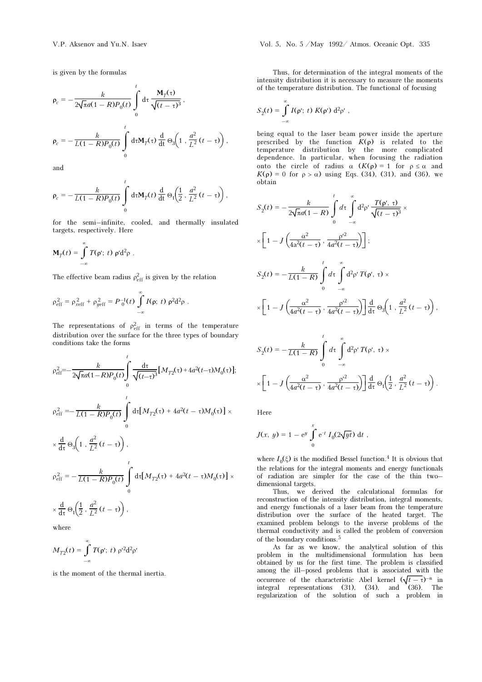is given by the formulas

$$
\rho_c = -\frac{k}{2\sqrt{\pi}a(1-R)P_0(t)} \int_0^t d\tau \frac{\mathbf{M}_T(\tau)}{\sqrt{(t-\tau)^3}},
$$
  

$$
\rho_c = -\frac{k}{L(1-R)P_0(t)} \int_0^t d\tau \mathbf{M}_T(\tau) \frac{d}{dt} \Theta_3\left(1, \frac{a^2}{L^2}(t-\tau)\right),
$$

and

$$
\rho_c = -\frac{k}{L(1-R)P_0(t)} \int_0^t d\tau M_T(t) \frac{d}{dt} \Theta_1\left(\frac{1}{2}, \frac{a^2}{L^2}(t-\tau)\right),
$$

for the semi–infinite, cooled, and thermally insulated targets, respectively. Here

$$
\mathbf{M}_T(t) = \int_{-\infty}^{\infty} T(\rho';\;t)\; \rho'd^2\rho\;.
$$

The effective beam radius  $\rho_{\text{eff}}^2$  is given by the relation

$$
\rho_{\rm eff}^2 = \rho_{\rm reff}^2 + \rho_{\rm yeff}^2 = P_0^{-1}(t) \int_{-\infty}^{\infty} I(\rho; t) \rho^2 d^2 \rho.
$$

The representations of  $\rho_{\text{eff}}^2$  in terms of the temperature distribution over the surface for the three types of boundary conditions take the forms

$$
\rho_{\text{eff}}^2 = -\frac{k}{2\sqrt{\pi a}(1-R)P_0(t)} \int_0^t \frac{d\tau}{\sqrt{(t-\tau)^3}} [M_{T2}(\tau) + 4a^2(t-\tau)M_0(\tau)];
$$
  
\n
$$
\rho_{\text{eff}}^2 = -\frac{k}{L(1-R)P_0(t)} \int_0^t d\tau [M_{T2}(\tau) + 4a^2(t-\tau)M_0(\tau)] \times
$$
  
\n
$$
\times \frac{d}{d\tau} \Theta_3 \Big( 1 + \frac{a^2}{L^2} (t-\tau) \Big),
$$
  
\n
$$
\rho_{\text{eff}}^2 = -\frac{k}{L(1-R)P_0(t)} \int_0^t d\tau [M_{T2}(\tau) + 4a^2(t-\tau)M_0(\tau)] \times
$$
  
\n
$$
\times \frac{d}{d\tau} \Theta_1 \Big( \frac{1}{2}, \frac{a^2}{L^2} (t-\tau) \Big),
$$

where

$$
M_{T2}(t) = \int_{-\infty}^{\infty} T(\rho';\ t)\ \rho'^2 d^2\rho'
$$

is the moment of the thermal inertia.

Thus, for determination of the integral moments of the intensity distribution it is necessary to measure the moments of the temperature distribution. The functional of focusing

$$
S_2(t) = \int_{-\infty}^{\infty} I(\rho';\ t)\ K(\rho')\ \mathrm{d}^2\rho'\ ,
$$

being equal to the laser beam power inside the aperture prescribed by the function  $K(\rho)$  is related to the temperature distribution by the more complicated dependence. In particular, when focusing the radiation onto the circle of radius  $\alpha$   $(K(\rho) = 1$  for  $\rho \leq \alpha$  and  $K(ρ) = 0$  for  $ρ > α$ ) using Eqs. (34), (31), and (36), we obtain

$$
S_2(t) = -\frac{k}{2\sqrt{\pi a}(1-R)} \int_0^t d\tau \int_{-\infty}^{\infty} d^2 \rho' \frac{T(\rho', \tau)}{\sqrt{(t-\tau)^3}} \times
$$
  

$$
\times \left[1 - J\left(\frac{\alpha^2}{4a^2(t-\tau)}, \frac{\rho'^2}{4a^2(t-\tau)}\right)\right];
$$
  

$$
S_2(t) = -\frac{k}{L(1-R)} \int_0^t d\tau \int_{-\infty}^{\infty} d^2 \rho' T(\rho', \tau) \times
$$
  

$$
\times \left[1 - J\left(\frac{\alpha^2}{4a^2(t-\tau)}, \frac{\rho'^2}{4a^2(t-\tau)}\right)\right] \frac{d}{d\tau} \Theta_3\left(1, \frac{a^2}{L^2}(t-\tau)\right),
$$

$$
S_2(t) = -\frac{k}{L(1-R)} \int_0^t d\tau \int_{-\infty}^{\infty} d^2 \rho' T(\rho', \tau) \times
$$

$$
\times \left[1 - J\left(\frac{\alpha^2}{4a^2(t-\tau)}, \frac{\rho'^2}{4a^2(t-\tau)}\right)\right] \frac{d}{d\tau} \Theta_1\left(\frac{1}{2}, \frac{a^2}{L^2}(t-\tau)\right).
$$

Here

$$
J(x, y) = 1 - e^y \int_0^x e^{-t} I_0(2\sqrt{yt}) dt,
$$

where  $I_0(\xi)$  is the modified Bessel function.<sup>4</sup> It is obvious that the relations for the integral moments and energy functionals of radiation are simpler for the case of the thin two– dimensional targets.

Thus, we derived the calculational formulas for reconstruction of the intensity distribution, integral moments, and energy functionals of a laser beam from the temperature distribution over the surface of the heated target. The examined problem belongs to the inverse problems of the thermal conductivity and is called the problem of conversion of the boundary conditions.<sup>5</sup>

As far as we know, the analytical solution of this problem in the multidimensional formulation has been obtained by us for the first time. The problem is classified among the ill–posed problems that is associated with the occurence of the characteristic Abel kernel  $(\sqrt{t-\tau})^{-n}$  in integral representations (31), (34), and (36). The regularization of the solution of such a problem in